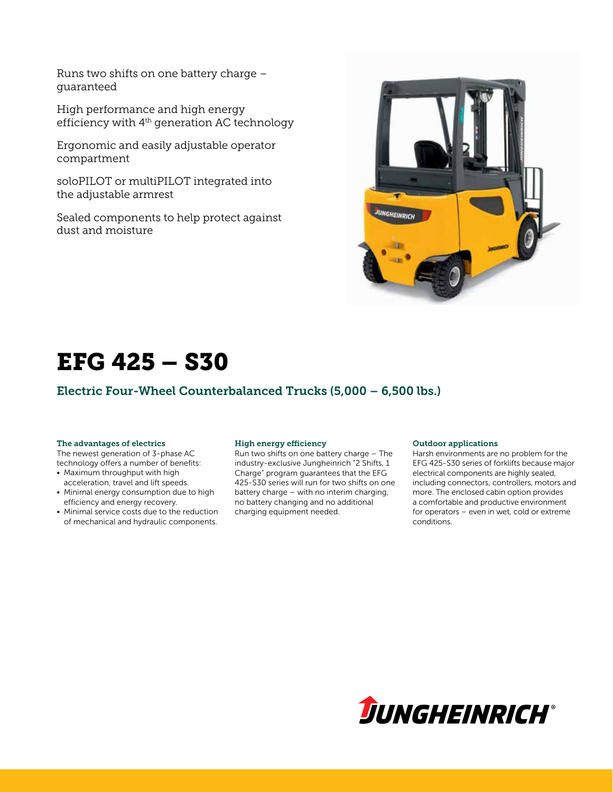Runs two shifts on one battery charge – guaranteed

High performance and high energy efficiency with 4th generation AC technology

Ergonomic and easily adjustable operator compartment

soloPILOT or multiPILOT integrated into the adjustable armrest

Sealed components to help protect against dust and moisture



# EFG 425 – S30

### Electric Four-Wheel Counterbalanced Trucks (5,000 – 6,500 lbs.)

### The advantages of electrics

The newest generation of 3-phase AC technology offers a number of benefits:

- Maximum throughput with high acceleration, travel and lift speeds.
- Minimal energy consumption due to high efficiency and energy recovery.
- Minimal service costs due to the reduction of mechanical and hydraulic components.

### High energy efficiency

Run two shifts on one battery charge – The industry-exclusive Jungheinrich "2 Shifts, 1 Charge" program guarantees that the EFG 425-S30 series will run for two shifts on one battery charge – with no interim charging, no battery changing and no additional charging equipment needed.

#### Outdoor applications

Harsh environments are no problem for the EFG 425-S30 series of forklifts because major electrical components are highly sealed, including connectors, controllers, motors and more. The enclosed cabin option provides a comfortable and productive environment for operators – even in wet, cold or extreme conditions.

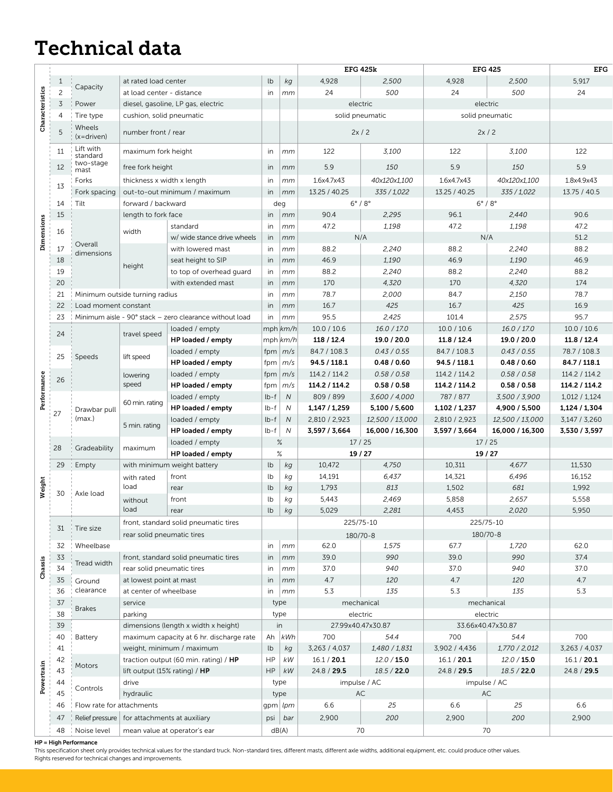## Technical data

|             |                |                                               |                                                                             |                                                         |               |                     | <b>EFG 425k</b>               |                 | <b>EFG 425</b>                |                   | <b>EFG</b>    |
|-------------|----------------|-----------------------------------------------|-----------------------------------------------------------------------------|---------------------------------------------------------|---------------|---------------------|-------------------------------|-----------------|-------------------------------|-------------------|---------------|
|             | $\mathbf{1}$   | Capacity                                      | at rated load center                                                        |                                                         |               | kg                  | 4,928                         | 2,500           | 4,928                         | 2,500             | 5,917         |
| eristics    | $\overline{c}$ |                                               | at load center - distance                                                   |                                                         | in            | mm                  | 24                            | 500             | 24                            | 500               | 24            |
|             | $\overline{3}$ | Power<br>diesel, gasoline, LP gas, electric   |                                                                             |                                                         |               | electric            |                               |                 | electric                      |                   |               |
|             | $\overline{4}$ | Tire type                                     | cushion, solid pneumatic                                                    |                                                         |               |                     | solid pneumatic               |                 |                               | solid pneumatic   |               |
| සී          | 5              | Wheels<br>number front / rear<br>$(x=driven)$ |                                                                             |                                                         |               |                     |                               | 2x/2            |                               | 2x/2              |               |
|             | 11             | Lift with<br>standard                         | maximum fork height                                                         |                                                         |               | mm                  | 122                           | 3,100           | 122                           | 3,100             | 122           |
|             | 12             | two-stage<br>mast                             | free fork height                                                            |                                                         | in            | $\mid$ mm           | 5.9                           | 150             | 5.9                           | 150               | 5.9           |
|             | 13             | Forks                                         | thickness x width x length                                                  |                                                         |               | $\mid$ mm           | 1.6x4.7x43                    | 40x120x1,100    | 1.6x4.7x43                    | 40x120x1,100      | 1.8x4.9x43    |
| Dimensions  |                | Fork spacing                                  | out-to-out minimum / maximum                                                |                                                         |               | in $\mid$ <i>mm</i> | 13.25 / 40.25                 | 335 / 1,022     | 13.25 / 40.25                 | 335 / 1,022       | 13.75 / 40.5  |
|             | 14             | Tilt                                          | forward / backward                                                          |                                                         |               | deg                 | $6^{\circ}$ / $8^{\circ}$     |                 |                               | $6^\circ/8^\circ$ |               |
|             | 15<br>16       |                                               | length to fork face                                                         |                                                         |               | in $\mid$ <i>mm</i> | 90.4                          | 2,295           | 96.1                          | 2,440             | 90.6          |
|             |                |                                               | width                                                                       | standard                                                |               | in $\mid$ <i>mm</i> | 47.2                          | 1,198           | 47.2                          | 1,198             | 47.2          |
|             |                | Overall                                       |                                                                             | w/ wide stance drive wheels                             |               | in $\mid$ <i>mm</i> | N/A                           |                 |                               | N/A               | 51.2          |
|             | $17\,$         | dimensions                                    |                                                                             | with lowered mast                                       | in            | mm                  | 88.2                          | 2,240           | 88.2                          | 2,240             | 88.2          |
|             | 18             |                                               | height                                                                      | seat height to SIP                                      | in            | $\mid$ mm           | 46.9                          | 1,190           | 46.9                          | 1,190             | 46.9          |
|             | 19             |                                               |                                                                             | to top of overhead guard                                | in            | $\mid$ mm           | 88.2                          | 2,240           | 88.2                          | 2,240             | 88.2          |
|             | 20             |                                               |                                                                             | with extended mast                                      |               | in $\mid$ <i>mm</i> | 170                           | 4,320           | 170                           | 4,320             | 174           |
|             | 21             | Minimum outside turning radius                |                                                                             |                                                         | in            | mm                  | 78.7                          | 2,000           | 84.7                          | 2,150             | 78.7          |
|             | 22             |                                               | Load moment constant                                                        |                                                         |               | mm                  | 16.7                          | 425             | 16.7                          | 425               | 16.9          |
|             | 23             |                                               |                                                                             | Minimum aisle - 90° stack - zero clearance without load | in            | $\mid$ mm           | 95.5                          | 2,425           | 101.4                         | 2,575             | 95.7          |
|             | 24             |                                               | travel speed                                                                | loaded / empty                                          |               | $mph \, km/h$       | 10.0 / 10.6                   | 16.0 / 17.0     | 10.0 / 10.6                   | 16.0 / 17.0       | 10.0 / 10.6   |
|             |                |                                               |                                                                             | HP loaded / empty                                       |               | $mph \, km/h$       | 118 / 12.4                    | 19.0 / 20.0     | 11.8 / 12.4                   | 19.0 / 20.0       | 11.8 / 12.4   |
|             | 25             |                                               | lift speed                                                                  | loaded / empty                                          |               | fpm $m/s$           | 84.7 / 108.3                  | 0.43 / 0.55     | 84.7 / 108.3                  | 0.43 / 0.55       | 78.7 / 108.3  |
|             |                | Speeds                                        |                                                                             | HP loaded / empty                                       |               | fpm $ m/s$          | 94.5 / 118.1                  | 0.48 / 0.60     | 94.5 / 118.1                  | 0.48 / 0.60       | 84.7 / 118.1  |
|             |                |                                               | lowering                                                                    | loaded / empty                                          |               | fpm $m/s$           | 114.2 / 114.2                 | 0.58 / 0.58     | 114.2 / 114.2                 | 0.58 / 0.58       | 114.2 / 114.2 |
|             | 26             |                                               | speed                                                                       | HP loaded / empty                                       |               | fpm $ m/s$          | 114.2 / 114.2                 | 0.58 / 0.58     | 114.2 / 114.2                 | 0.58 / 0.58       | 114.2 / 114.2 |
| Performance |                | Drawbar pull<br>(max.)                        |                                                                             | loaded / empty                                          | $lb - f$      | N                   | 809 / 899                     | 3,600 / 4,000   | 787 / 877                     | 3,500 / 3,900     | 1,012/1,124   |
|             | 27             |                                               | 60 min. rating                                                              | HP loaded / empty                                       | $lb - 1$      | N                   | 1,147 / 1,259                 | 5,100 / 5,600   | 1,102 / 1,237                 | 4,900 / 5,500     | 1,124 / 1,304 |
|             |                |                                               | 5 min. rating                                                               | loaded / empty                                          | $lb - f$      | N                   | 2,810 / 2,923                 | 12,500 / 13,000 | 2,810 / 2,923                 | 12,500 / 13,000   | 3,147 / 3,260 |
|             |                |                                               |                                                                             | HP loaded / empty                                       | $lb - f$      | $\overline{N}$      | 3,597 / 3,664                 | 16,000 / 16,300 | 3,597 / 3,664                 | 16,000 / 16,300   | 3,530 / 3,597 |
|             |                |                                               |                                                                             | loaded / empty                                          | $\%$          |                     | 17/25                         |                 |                               | 17/25             |               |
|             | 28             | Gradeability                                  | maximum                                                                     | HP loaded / empty                                       | $\%$          |                     |                               | 19/27           |                               | 19/27             |               |
|             | 29             | Empty                                         |                                                                             | with minimum weight battery                             | lb            | kg                  | 10,472                        | 4,750           | 10,311                        | 4,677             | 11,530        |
|             |                |                                               | with rated                                                                  | front                                                   | lb            | kg                  | 14,191                        | 6,437           | 14,321                        | 6,496             | 16,152        |
| Weight      |                |                                               | load                                                                        | rear                                                    | lb            | kg                  | 1,793                         | 813             | 1,502                         | 681               | 1,992         |
|             | 30             | Axle load                                     | without                                                                     | front                                                   | lb            | kg                  | 5,443                         | 2,469           | 5,858                         | 2,657             | 5,558         |
|             |                |                                               | load                                                                        | rear                                                    | $\mathsf{lb}$ | ka                  | 5,029                         | 2,281           | 4,453                         | 2,020             | 5,950         |
|             |                |                                               |                                                                             | front, standard solid pneumatic tires                   |               |                     | 225/75-10                     |                 |                               | 225/75-10         |               |
|             |                | 31 Tire size                                  | rear solid pneumatic tires                                                  |                                                         |               |                     |                               | 180/70-8        |                               | 180/70-8          |               |
|             |                | 32 Wheelbase                                  |                                                                             |                                                         |               | in $\mid$ <i>mm</i> | 62.0                          | 1,575           | 67.7                          | 1,720             | 62.0          |
|             | 33             |                                               | front, standard solid pneumatic tires                                       |                                                         |               | in $\mid$ mm        | 39.0                          | 990             | 39.0                          | 990               | 37.4          |
| Chassis     | 34             | Tread width                                   | rear solid pneumatic tires                                                  |                                                         | in            | $\mid$ mm           | 37.0                          | 940             | 37.0                          | 940               | 37.0          |
|             | 35             | Ground                                        | at lowest point at mast                                                     |                                                         |               | in $\mid$ mm        | 4.7                           | 120             | 4.7                           | 120               | $4.7\,$       |
|             | 36             | clearance                                     | at center of wheelbase                                                      |                                                         |               | in $\mid$ <i>mm</i> | 5.3                           | 135             | 5.3                           | 135               | $5.3$         |
|             | $37\,$         |                                               | service                                                                     |                                                         |               | type                | mechanical                    |                 |                               | mechanical        |               |
|             | 38             | <b>Brakes</b>                                 |                                                                             |                                                         |               | type                |                               |                 |                               |                   |               |
|             | 39             |                                               | parking<br>dimensions (length x width x height)                             |                                                         |               | in                  | electric<br>27.99x40.47x30.87 |                 | electric<br>33.66x40.47x30.87 |                   |               |
|             | 40             | Battery                                       | maximum capacity at 6 hr. discharge rate                                    |                                                         |               | Ah $ kWh$           | 700                           | 54.4            | 700                           | 54.4              | 700           |
|             | 41             |                                               | weight, minimum / maximum                                                   |                                                         | $\mathsf{lb}$ | $k g$               | 3,263 / 4,037                 | 1,480 / 1,831   | 3,902 / 4,436                 | 1,770 / 2,012     | 3,263 / 4,037 |
|             | 42             |                                               | traction output (60 min. rating) / HP                                       |                                                         | <b>HP</b>     | $\kappa$ W          | 16.1 / 20.1                   | 12.0 / 15.0     | 16.1 / 20.1                   | 12.0 / 15.0       | 16.1 / 20.1   |
| Powertrain  | 43             | Motors                                        | lift output (15% rating) / HP                                               |                                                         |               | $HP$ $kW$           | 24.8 / 29.5                   | 18.5 / 22.0     | 24.8 / 29.5                   | 18.5 / 22.0       | 24.8 / 29.5   |
|             |                |                                               |                                                                             |                                                         |               |                     |                               |                 |                               |                   |               |
|             | 44<br>45       | Controls                                      | drive<br>hydraulic                                                          |                                                         |               | type                | $\mathsf{AC}$                 | impulse / AC    |                               | impulse / AC      |               |
|             |                |                                               |                                                                             |                                                         |               | type                |                               |                 |                               | $\mathsf{AC}$     |               |
|             | 46             |                                               | Flow rate for attachments<br>Relief pressure   for attachments at auxiliary |                                                         |               | gpm $ lpm $         | 6.6                           | 25              | 6.6                           | 25                | 6.6           |
|             | 47             |                                               |                                                                             |                                                         |               | psi bar             | 2,900                         | 200             | 2,900                         | 200               | 2,900         |
|             |                | 48   Noise level                              |                                                                             | mean value at operator's ear                            |               | dB(A)               | 70                            |                 |                               | 70                |               |

#### HP = High Performance

This specification sheet only provides technical values for the standard truck. Non-standard tires, different masts, different axle widths, additional equipment, etc. could produce other values. Rights reserved for technical changes and improvements.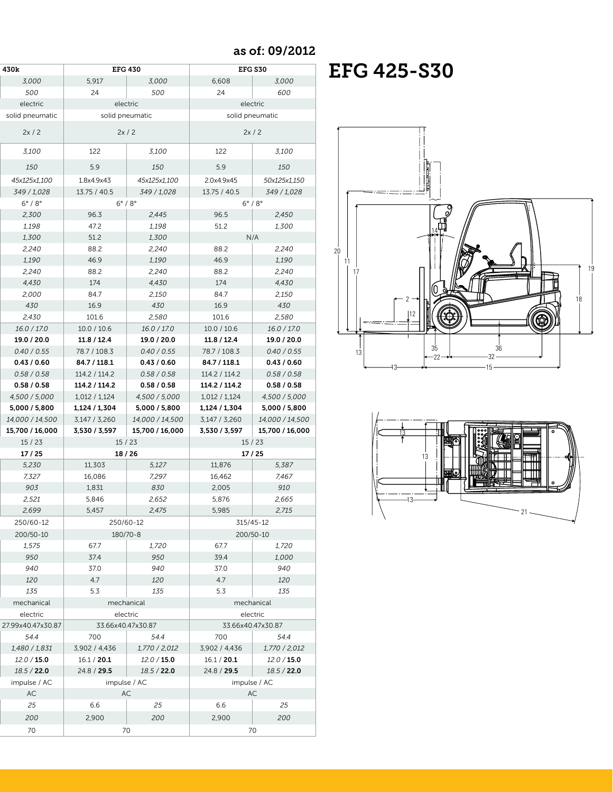$\cos \theta$  as of: 09/2012

| 430k |                           | <b>EFG 430</b>            |                 |                 | <b>EFG S30</b>            |  |
|------|---------------------------|---------------------------|-----------------|-----------------|---------------------------|--|
|      | 3,000                     | 5,917                     | 3,000           | 6,608           | 3,000                     |  |
|      | 500                       | 24                        | 500             | 24              | 600                       |  |
|      | electric                  | electric                  |                 |                 | electric                  |  |
|      | solid pneumatic           | solid pneumatic           |                 |                 | solid pneumatic           |  |
|      | 2x/2                      | 2x/2                      |                 | 2x/2            |                           |  |
|      | 3,100                     | 122                       | 3,100           | 122             | 3,100                     |  |
|      | 150                       | 5.9                       | 150             | 5.9             | 150                       |  |
|      | 45x125x1,100              | 1.8x4.9x43                | 45x125x1,100    | 2.0x4.9x45      | 50x125x1,150              |  |
|      | 349 / 1,028               | 13.75 / 40.5              | 349 / 1,028     | 13.75 / 40.5    | 349 / 1,028               |  |
|      | $6^{\circ}$ / $8^{\circ}$ | $6^{\circ}$ / $8^{\circ}$ |                 |                 | $6^{\circ}$ / $8^{\circ}$ |  |
|      | 2,300                     | 96.3                      | 2,445           | 96.5            | 2,450                     |  |
|      | 1,198                     | 47.2                      | 1,198           | 51.2            | 1,300                     |  |
|      | 1,300                     | 51.2                      | 1,300           |                 | N/A                       |  |
|      | 2,240                     | 88.2                      | 2,240           | 88.2            | 2,240                     |  |
|      | 1,190                     | 46.9                      | 1,190           | 46.9            | 1,190                     |  |
|      |                           |                           |                 | 88.2            | 2,240                     |  |
|      | 2,240                     | 88.2                      | 2,240           |                 |                           |  |
|      | 4,430                     | 174                       | 4,430           | 174             | 4,430                     |  |
|      | 2,000                     | 84.7                      | 2,150           | 84.7            | 2,150                     |  |
|      | 430                       | 16.9                      | 430             | 16.9            | 430                       |  |
|      | 2,430                     | 101.6                     | 2,580           | 101.6           | 2,580                     |  |
|      | 16.0 / 17.0               | 10.0 / 10.6               | 16.0 / 17.0     | 10.0 / 10.6     | 16.0 / 17.0               |  |
|      | 19.0 / 20.0               | 11.8 / 12.4               | 19.0 / 20.0     | 11.8 / 12.4     | 19.0 / 20.0               |  |
|      | 0.40 / 0.55               | 78.7 / 108.3              | 0.40 / 0.55     | 78.7 / 108.3    | 0.40 / 0.55               |  |
|      | 0.43/0.60                 | 84.7 / 118.1              | 0.43/0.60       | 84.7 / 118.1    | 0.43/0.60                 |  |
|      | 0.58 / 0.58               | 114.2 / 114.2             | 0.58 / 0.58     | 114.2 / 114.2   | 0.58 / 0.58               |  |
|      | 0.58 / 0.58               |                           |                 |                 | 0.58 / 0.58               |  |
|      |                           | 114.2 / 114.2             | 0.58 / 0.58     | 114.2 / 114.2   |                           |  |
|      | 4,500 / 5,000             | 1,012 / 1,124             | 4,500 / 5,000   | 1,012 / 1,124   | 4,500 / 5,000             |  |
|      | 5,000 / 5,800             | 1,124 / 1,304             | 5,000 / 5,800   | 1,124 / 1,304   | 5,000 / 5,800             |  |
|      | 14,000 / 14,500           | 3,147 / 3,260             | 14,000 / 14,500 | 3,147 / 3,260   | 14,000 / 14,500           |  |
|      | 15,700 / 16,000           | 3,530 / 3,597             | 15,700 / 16,000 | 3,530 / 3,597   | 15,700 / 16,000           |  |
|      | 15/23                     | 15/23                     |                 |                 | 15/23                     |  |
|      |                           | 18/26                     |                 |                 | 17/25                     |  |
|      | 17/25<br>5,230            | 11,303                    |                 | 11,876          | 5,387                     |  |
|      |                           |                           | 5,127<br>7,297  |                 |                           |  |
|      | 7,327<br>903              | 16,086<br>1,831           | 830             | 16,462<br>2,005 | 7,467<br>910              |  |
|      | 2,521                     | 5,846                     | 2,652           | 5,876           | 2,665                     |  |
|      | 2,699                     | 5,457                     | 2,475           | 5,985           | 2,715                     |  |
|      | 250/60-12                 | 250/60-12                 |                 |                 | 315/45-12                 |  |
|      | 200/50-10                 | 180/70-8                  |                 |                 | 200/50-10                 |  |
|      | 1,575                     | 67.7                      | 1,720           | 67.7            | 1,720                     |  |
|      | 950                       | 37.4                      | 950             | 39.4            | 1,000                     |  |
|      | 940                       | 37.0                      | 940             | 37.0            | 940                       |  |
|      | 120                       | 4.7                       | 120             | 4.7             | 120                       |  |
|      | 135<br>mechanical         | 5.3<br>mechanical         | 135             | 5.3             | 135<br>mechanical         |  |
|      | electric                  | electric                  |                 |                 | electric                  |  |
|      | 27.99x40.47x30.87         | 33.66x40.47x30.87         |                 |                 | 33.66x40.47x30.87         |  |
|      | 54.4                      | 700                       | 54.4            | 700             | 54.4                      |  |
|      |                           |                           |                 |                 |                           |  |
|      | 1,480 / 1,831             | 3,902 / 4,436             | 1,770 / 2,012   | 3,902 / 4,436   | 1,770 / 2,012             |  |
|      | 12.0 / 15.0               | 16.1 / 20.1               | 12.0 / 15.0     | 16.1 / 20.1     | 12.0 / 15.0               |  |
|      | 18.5 / 22.0               | 24.8 / 29.5               | 18.5 / 22.0     | 24.8 / 29.5     | 18.5 / 22.0               |  |
|      | impulse / AC              | impulse / AC              |                 |                 | impulse / AC              |  |
|      | $\mathsf{AC}$             | $\mathsf{AC}$             |                 |                 | $\mathsf{AC}$             |  |
|      | 25                        | 6.6                       | 25              | 6.6             | 25                        |  |
|      | 200<br>70                 | 2,900<br>70               | 200             | 2,900           | 200<br>70                 |  |

## EFG 425-S30